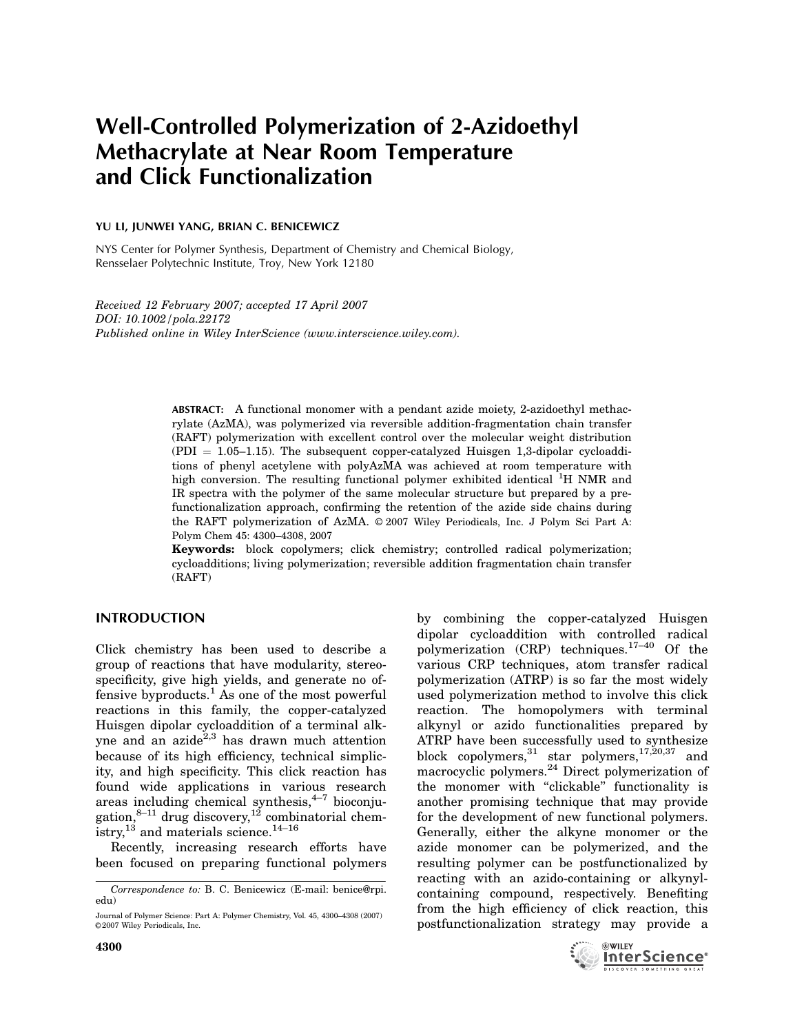# Well-Controlled Polymerization of 2-Azidoethyl Methacrylate at Near Room Temperature and Click Functionalization

## YU LI, JUNWEI YANG, BRIAN C. BENICEWICZ

NYS Center for Polymer Synthesis, Department of Chemistry and Chemical Biology, Rensselaer Polytechnic Institute, Troy, New York 12180

Received 12 February 2007; accepted 17 April 2007 DOI: 10.1002/pola.22172 Published online in Wiley InterScience (www.interscience.wiley.com).

> ABSTRACT: A functional monomer with a pendant azide moiety, 2-azidoethyl methacrylate (AzMA), was polymerized via reversible addition-fragmentation chain transfer (RAFT) polymerization with excellent control over the molecular weight distribution  $(PDI = 1.05-1.15)$ . The subsequent copper-catalyzed Huisgen 1,3-dipolar cycloadditions of phenyl acetylene with polyAzMA was achieved at room temperature with high conversion. The resulting functional polymer exhibited identical <sup>1</sup>H NMR and IR spectra with the polymer of the same molecular structure but prepared by a prefunctionalization approach, confirming the retention of the azide side chains during the RAFT polymerization of AzMA. © 2007 Wiley Periodicals, Inc. J Polym Sci Part A: Polym Chem 45: 4300–4308, 2007

> Keywords: block copolymers; click chemistry; controlled radical polymerization; cycloadditions; living polymerization; reversible addition fragmentation chain transfer (RAFT)

# INTRODUCTION

Click chemistry has been used to describe a group of reactions that have modularity, stereospecificity, give high yields, and generate no offensive byproducts.<sup>1</sup> As one of the most powerful reactions in this family, the copper-catalyzed Huisgen dipolar cycloaddition of a terminal alkyne and an azide<sup>2,3</sup> has drawn much attention because of its high efficiency, technical simplicity, and high specificity. This click reaction has found wide applications in various research areas including chemical synthesis, $4^{-7}$  bioconjugation,  $8-11$  drug discovery,  $12$  combinatorial chemistry,  $^{13}$  and materials science.<sup>14-16</sup>

Recently, increasing research efforts have been focused on preparing functional polymers by combining the copper-catalyzed Huisgen dipolar cycloaddition with controlled radical polymerization (CRP) techniques. $17-40$  Of the various CRP techniques, atom transfer radical polymerization (ATRP) is so far the most widely used polymerization method to involve this click reaction. The homopolymers with terminal alkynyl or azido functionalities prepared by ATRP have been successfully used to synthesize block copolymers,  $31$  star polymers,  $17,20,37$  and macrocyclic polymers.<sup>24</sup> Direct polymerization of the monomer with ''clickable'' functionality is another promising technique that may provide for the development of new functional polymers. Generally, either the alkyne monomer or the azide monomer can be polymerized, and the resulting polymer can be postfunctionalized by reacting with an azido-containing or alkynylcontaining compound, respectively. Benefiting from the high efficiency of click reaction, this postfunctionalization strategy may provide a



Correspondence to: B. C. Benicewicz (E-mail: benice@rpi. edu)

Journal of Polymer Science: Part A: Polymer Chemistry, Vol. 45, 4300–4308 (2007) ©2007 Wiley Periodicals, Inc.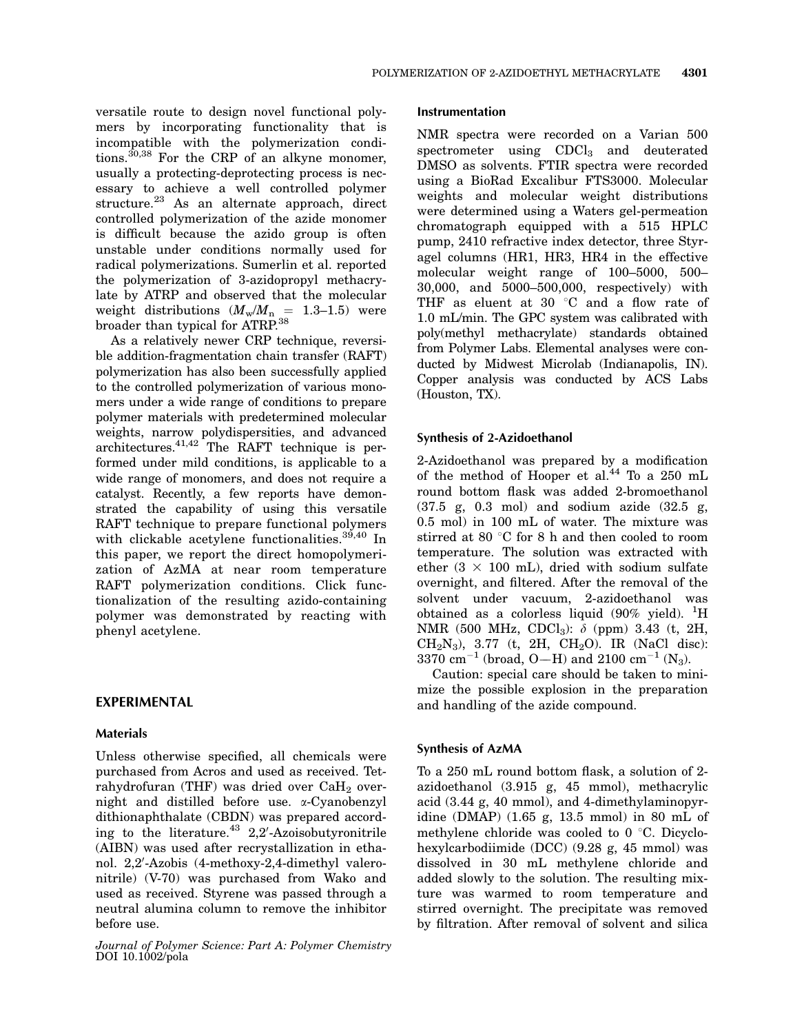versatile route to design novel functional polymers by incorporating functionality that is incompatible with the polymerization conditions.<sup>30,38</sup> For the CRP of an alkyne monomer, usually a protecting-deprotecting process is necessary to achieve a well controlled polymer structure.<sup>23</sup> As an alternate approach, direct controlled polymerization of the azide monomer is difficult because the azido group is often unstable under conditions normally used for radical polymerizations. Sumerlin et al. reported the polymerization of 3-azidopropyl methacrylate by ATRP and observed that the molecular weight distributions  $(M_w/M_n = 1.3-1.5)$  were broader than typical for ATRP.38

As a relatively newer CRP technique, reversible addition-fragmentation chain transfer (RAFT) polymerization has also been successfully applied to the controlled polymerization of various monomers under a wide range of conditions to prepare polymer materials with predetermined molecular weights, narrow polydispersities, and advanced architectures.41,42 The RAFT technique is performed under mild conditions, is applicable to a wide range of monomers, and does not require a catalyst. Recently, a few reports have demonstrated the capability of using this versatile RAFT technique to prepare functional polymers with clickable acetylene functionalities.<sup>39,40</sup> In this paper, we report the direct homopolymerization of AzMA at near room temperature RAFT polymerization conditions. Click functionalization of the resulting azido-containing polymer was demonstrated by reacting with phenyl acetylene.

## EXPERIMENTAL

#### Materials

Unless otherwise specified, all chemicals were purchased from Acros and used as received. Tetrahydrofuran (THF) was dried over  $CaH<sub>2</sub>$  overnight and distilled before use. a-Cyanobenzyl dithionaphthalate (CBDN) was prepared according to the literature.<sup>43</sup> 2,2'-Azoisobutyronitrile (AIBN) was used after recrystallization in ethanol. 2,2'-Azobis (4-methoxy-2,4-dimethyl valeronitrile) (V-70) was purchased from Wako and used as received. Styrene was passed through a neutral alumina column to remove the inhibitor before use.

Journal of Polymer Science: Part A: Polymer Chemistry DOI 10.1002/pola

#### Instrumentation

NMR spectra were recorded on a Varian 500 spectrometer using  $CDCl<sub>3</sub>$  and deuterated DMSO as solvents. FTIR spectra were recorded using a BioRad Excalibur FTS3000. Molecular weights and molecular weight distributions were determined using a Waters gel-permeation chromatograph equipped with a 515 HPLC pump, 2410 refractive index detector, three Styragel columns (HR1, HR3, HR4 in the effective molecular weight range of 100–5000, 500– 30,000, and 5000–500,000, respectively) with THF as eluent at 30  $\degree$ C and a flow rate of 1.0 mL/min. The GPC system was calibrated with poly(methyl methacrylate) standards obtained from Polymer Labs. Elemental analyses were conducted by Midwest Microlab (Indianapolis, IN). Copper analysis was conducted by ACS Labs (Houston, TX).

## Synthesis of 2-Azidoethanol

2-Azidoethanol was prepared by a modification of the method of Hooper et al.<sup>44</sup> To a 250 mL round bottom flask was added 2-bromoethanol (37.5 g, 0.3 mol) and sodium azide (32.5 g, 0.5 mol) in 100 mL of water. The mixture was stirred at 80  $\degree$ C for 8 h and then cooled to room temperature. The solution was extracted with ether  $(3 \times 100 \text{ mL})$ , dried with sodium sulfate overnight, and filtered. After the removal of the solvent under vacuum, 2-azidoethanol was obtained as a colorless liquid  $(90\% \text{ yield})$ . <sup>1</sup>H NMR (500 MHz, CDCl<sub>3</sub>):  $\delta$  (ppm) 3.43 (t, 2H,  $CH_2N_3$ ), 3.77 (t, 2H,  $CH_2O$ ). IR (NaCl disc): 3370 cm<sup>-1</sup> (broad, O-H) and 2100 cm<sup>-1</sup> (N<sub>3</sub>).

Caution: special care should be taken to minimize the possible explosion in the preparation and handling of the azide compound.

### Synthesis of AzMA

To a 250 mL round bottom flask, a solution of 2 azidoethanol (3.915 g, 45 mmol), methacrylic acid (3.44 g, 40 mmol), and 4-dimethylaminopyridine (DMAP) (1.65 g, 13.5 mmol) in 80 mL of methylene chloride was cooled to  $0^{\circ}$ C. Dicyclohexylcarbodiimide (DCC) (9.28 g, 45 mmol) was dissolved in 30 mL methylene chloride and added slowly to the solution. The resulting mixture was warmed to room temperature and stirred overnight. The precipitate was removed by filtration. After removal of solvent and silica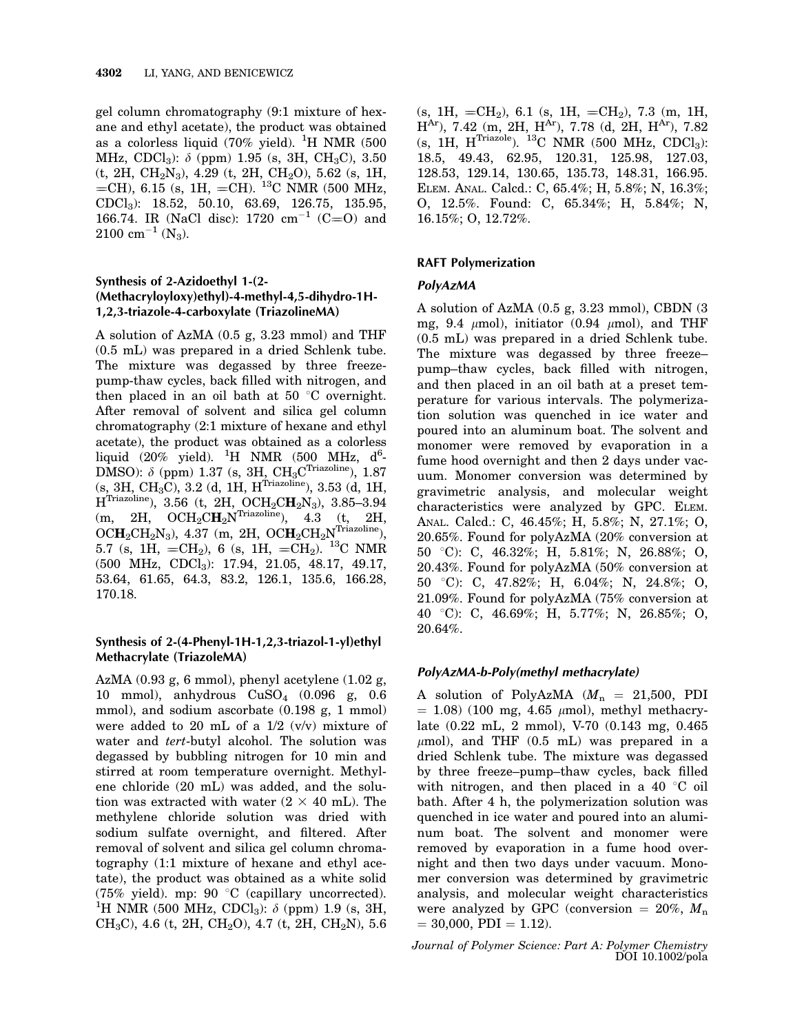gel column chromatography (9:1 mixture of hexane and ethyl acetate), the product was obtained as a colorless liquid (70% yield). <sup>1</sup>H NMR (500 MHz, CDCl<sub>3</sub>):  $\delta$  (ppm) 1.95 (s, 3H, CH<sub>3</sub>C), 3.50 (t, 2H, CH2N3), 4.29 (t, 2H, CH2O), 5.62 (s, 1H,  $=$ CH), 6.15 (s, 1H,  $=$ CH). <sup>13</sup>C NMR (500 MHz, CDCl3): 18.52, 50.10, 63.69, 126.75, 135.95, 166.74. IR (NaCl disc):  $1720 \text{ cm}^{-1}$  (C=O) and  $2100 \text{ cm}^{-1}$  (N<sub>3</sub>).

# Synthesis of 2-Azidoethyl 1-(2- (Methacryloyloxy)ethyl)-4-methyl-4,5-dihydro-1H-1,2,3-triazole-4-carboxylate (TriazolineMA)

A solution of AzMA (0.5 g, 3.23 mmol) and THF (0.5 mL) was prepared in a dried Schlenk tube. The mixture was degassed by three freezepump-thaw cycles, back filled with nitrogen, and then placed in an oil bath at 50  $\degree$ C overnight. After removal of solvent and silica gel column chromatography (2:1 mixture of hexane and ethyl acetate), the product was obtained as a colorless liquid  $(20\%$  yield). <sup>1</sup>H NMR (500 MHz, d<sup>6</sup>-DMSO):  $\delta$  (ppm) 1.37 (s, 3H, CH<sub>3</sub>C<sup>Triazoline</sup>), 1.87  $(s, 3H, CH<sub>3</sub>C), 3.2$  (d, 1H, H<sup>Triazoline</sup>), 3.53 (d, 1H,  $\rm H^{Triazoline}),\,\,3.56\,$  (t,  $\rm \,2H,\,\,OCH_2CH_2N_3),\,\,3.85\,\text{--}\,3.94$ (m, 2H,  $OCH_2CH_2N^{Triazoline}$ ), 4.3 (t, 2H,  $OCH_2CH_2N_3$ ), 4.37 (m, 2H,  $OCH_2CH_2N^{Triazoline}$ ), 5.7 (s, 1H,  $=CH_2$ ), 6 (s, 1H,  $=CH_2$ ). <sup>13</sup>C NMR (500 MHz, CDCl3): 17.94, 21.05, 48.17, 49.17, 53.64, 61.65, 64.3, 83.2, 126.1, 135.6, 166.28, 170.18.

# Synthesis of 2-(4-Phenyl-1H-1,2,3-triazol-1-yl)ethyl Methacrylate (TriazoleMA)

AzMA (0.93 g, 6 mmol), phenyl acetylene (1.02 g, 10 mmol), anhydrous CuSO4 (0.096 g, 0.6 mmol), and sodium ascorbate (0.198 g, 1 mmol) were added to 20 mL of a  $1/2$  (v/v) mixture of water and tert-butyl alcohol. The solution was degassed by bubbling nitrogen for 10 min and stirred at room temperature overnight. Methylene chloride (20 mL) was added, and the solution was extracted with water  $(2 \times 40 \text{ mL})$ . The methylene chloride solution was dried with sodium sulfate overnight, and filtered. After removal of solvent and silica gel column chromatography (1:1 mixture of hexane and ethyl acetate), the product was obtained as a white solid (75% yield). mp: 90 $\degree$ C (capillary uncorrected). <sup>1</sup>H NMR (500 MHz, CDCl<sub>3</sub>):  $\delta$  (ppm) 1.9 (s, 3H, CH<sub>3</sub>C), 4.6 (t, 2H, CH<sub>2</sub>O), 4.7 (t, 2H, CH<sub>2</sub>N), 5.6

(s, 1H, =CH<sub>2</sub>), 6.1 (s, 1H, =CH<sub>2</sub>), 7.3 (m, 1H,  $H<sup>Ar</sup>$ ), 7.42 (m, 2H,  $H<sup>Ar</sup>$ ), 7.78 (d, 2H,  $H<sup>Ar</sup>$ ), 7.82  $(s, 1H, H^{Triazole})$ . <sup>13</sup>C NMR (500 MHz, CDCl<sub>3</sub>): 18.5, 49.43, 62.95, 120.31, 125.98, 127.03, 128.53, 129.14, 130.65, 135.73, 148.31, 166.95. ELEM. ANAL. Calcd.: C, 65.4%; H, 5.8%; N, 16.3%; O, 12.5%. Found: C, 65.34%; H, 5.84%; N, 16.15%; O, 12.72%.

# RAFT Polymerization

## PolyAzMA

A solution of AzMA (0.5 g, 3.23 mmol), CBDN (3 mg, 9.4  $\mu$ mol), initiator (0.94  $\mu$ mol), and THF (0.5 mL) was prepared in a dried Schlenk tube. The mixture was degassed by three freeze– pump–thaw cycles, back filled with nitrogen, and then placed in an oil bath at a preset temperature for various intervals. The polymerization solution was quenched in ice water and poured into an aluminum boat. The solvent and monomer were removed by evaporation in a fume hood overnight and then 2 days under vacuum. Monomer conversion was determined by gravimetric analysis, and molecular weight characteristics were analyzed by GPC. ELEM. ANAL. Calcd.: C, 46.45%; H, 5.8%; N, 27.1%; O, 20.65%. Found for polyAzMA (20% conversion at 50 8C): C, 46.32%; H, 5.81%; N, 26.88%; O, 20.43%. Found for polyAzMA (50% conversion at 50 8C): C, 47.82%; H, 6.04%; N, 24.8%; O, 21.09%. Found for polyAzMA (75% conversion at 40 8C): C, 46.69%; H, 5.77%; N, 26.85%; O, 20.64%.

# PolyAzMA-b-Poly(methyl methacrylate)

A solution of PolyAzMA  $(M_n = 21,500, \text{ PDI}$  $= 1.08$ ) (100 mg, 4.65  $\mu$ mol), methyl methacrylate (0.22 mL, 2 mmol), V-70 (0.143 mg, 0.465  $\mu$ mol), and THF (0.5 mL) was prepared in a dried Schlenk tube. The mixture was degassed by three freeze–pump–thaw cycles, back filled with nitrogen, and then placed in a 40  $\degree$ C oil bath. After 4 h, the polymerization solution was quenched in ice water and poured into an aluminum boat. The solvent and monomer were removed by evaporation in a fume hood overnight and then two days under vacuum. Monomer conversion was determined by gravimetric analysis, and molecular weight characteristics were analyzed by GPC (conversion  $= 20\%$ ,  $M_n$ )  $= 30,000,$  PDI  $= 1.12$ ).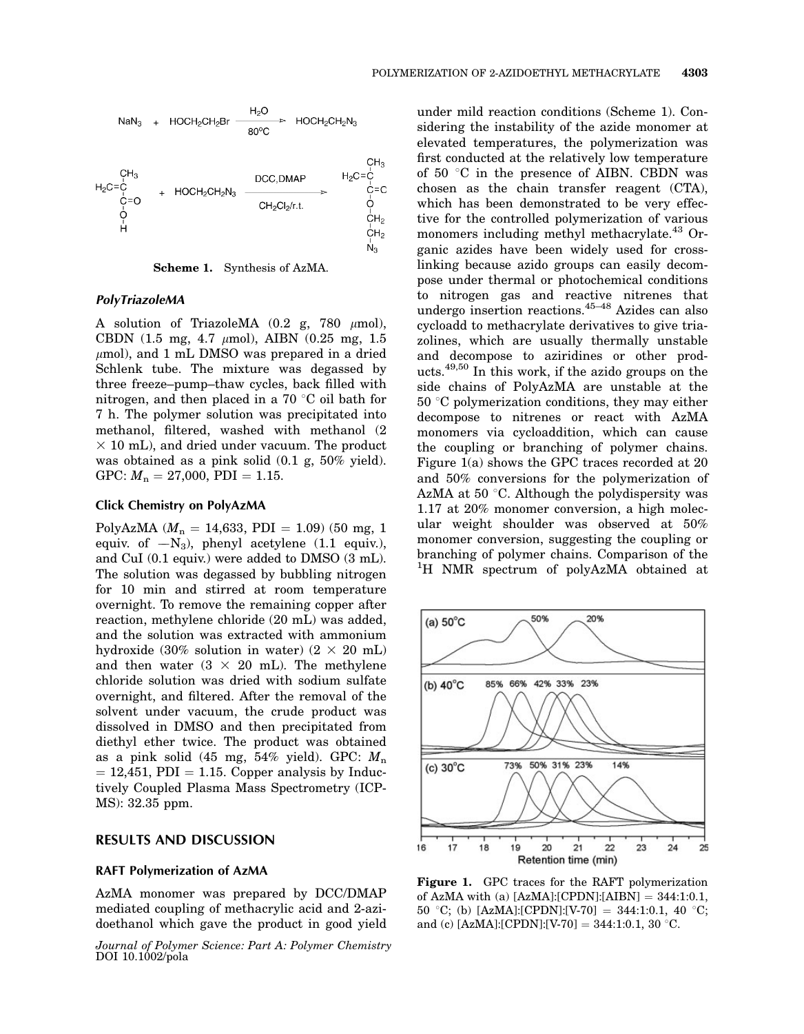

Scheme 1. Synthesis of AzMA.

### PolyTriazoleMA

A solution of TriazoleMA  $(0.2 \text{ g}, 780 \mu \text{mol})$ , CBDN (1.5 mg, 4.7  $\mu$ mol), AIBN (0.25 mg, 1.5  $\mu$ mol), and 1 mL DMSO was prepared in a dried Schlenk tube. The mixture was degassed by three freeze–pump–thaw cycles, back filled with nitrogen, and then placed in a  $70 \degree C$  oil bath for 7 h. The polymer solution was precipitated into methanol, filtered, washed with methanol (2  $\times$  10 mL), and dried under vacuum. The product was obtained as a pink solid (0.1 g, 50% yield). GPC:  $M_n = 27,000$ , PDI = 1.15.

## Click Chemistry on PolyAzMA

PolyAzMA ( $M_n = 14,633$ , PDI = 1.09) (50 mg, 1 equiv. of  $-N_3$ ), phenyl acetylene (1.1 equiv.), and CuI (0.1 equiv.) were added to DMSO (3 mL). The solution was degassed by bubbling nitrogen for 10 min and stirred at room temperature overnight. To remove the remaining copper after reaction, methylene chloride (20 mL) was added, and the solution was extracted with ammonium hydroxide (30% solution in water) ( $2 \times 20$  mL) and then water  $(3 \times 20 \text{ mL})$ . The methylene chloride solution was dried with sodium sulfate overnight, and filtered. After the removal of the solvent under vacuum, the crude product was dissolved in DMSO and then precipitated from diethyl ether twice. The product was obtained as a pink solid (45 mg,  $54\%$  yield). GPC:  $M_n$  $= 12,451,$  PDI  $= 1.15$ . Copper analysis by Inductively Coupled Plasma Mass Spectrometry (ICP-MS): 32.35 ppm.

### RESULTS AND DISCUSSION

#### RAFT Polymerization of AzMA

AzMA monomer was prepared by DCC/DMAP mediated coupling of methacrylic acid and 2-azidoethanol which gave the product in good yield

Journal of Polymer Science: Part A: Polymer Chemistry DOI 10.1002/pola

under mild reaction conditions (Scheme 1). Considering the instability of the azide monomer at elevated temperatures, the polymerization was first conducted at the relatively low temperature of 50 $\degree$ C in the presence of AIBN. CBDN was chosen as the chain transfer reagent (CTA), which has been demonstrated to be very effective for the controlled polymerization of various monomers including methyl methacrylate.<sup>43</sup> Organic azides have been widely used for crosslinking because azido groups can easily decompose under thermal or photochemical conditions to nitrogen gas and reactive nitrenes that undergo insertion reactions.45–48 Azides can also cycloadd to methacrylate derivatives to give triazolines, which are usually thermally unstable and decompose to aziridines or other products.49,50 In this work, if the azido groups on the side chains of PolyAzMA are unstable at the  $50^{\circ}$ C polymerization conditions, they may either decompose to nitrenes or react with AzMA monomers via cycloaddition, which can cause the coupling or branching of polymer chains. Figure 1(a) shows the GPC traces recorded at 20 and 50% conversions for the polymerization of AzMA at 50  $\degree$ C. Although the polydispersity was 1.17 at 20% monomer conversion, a high molecular weight shoulder was observed at 50% monomer conversion, suggesting the coupling or branching of polymer chains. Comparison of the <sup>1</sup>H NMR spectrum of polyAzMA obtained at



Figure 1. GPC traces for the RAFT polymerization of AzMA with (a)  $[AzMA]:[CPDN]:[AIBN] = 344:1:0.1$ , 50 °C; (b) [AzMA]:[CPDN]:[V-70] = 344:1:0.1, 40 °C; and (c) [AzMA]:[CPDN]:[V-70] = 344:1:0.1, 30 °C.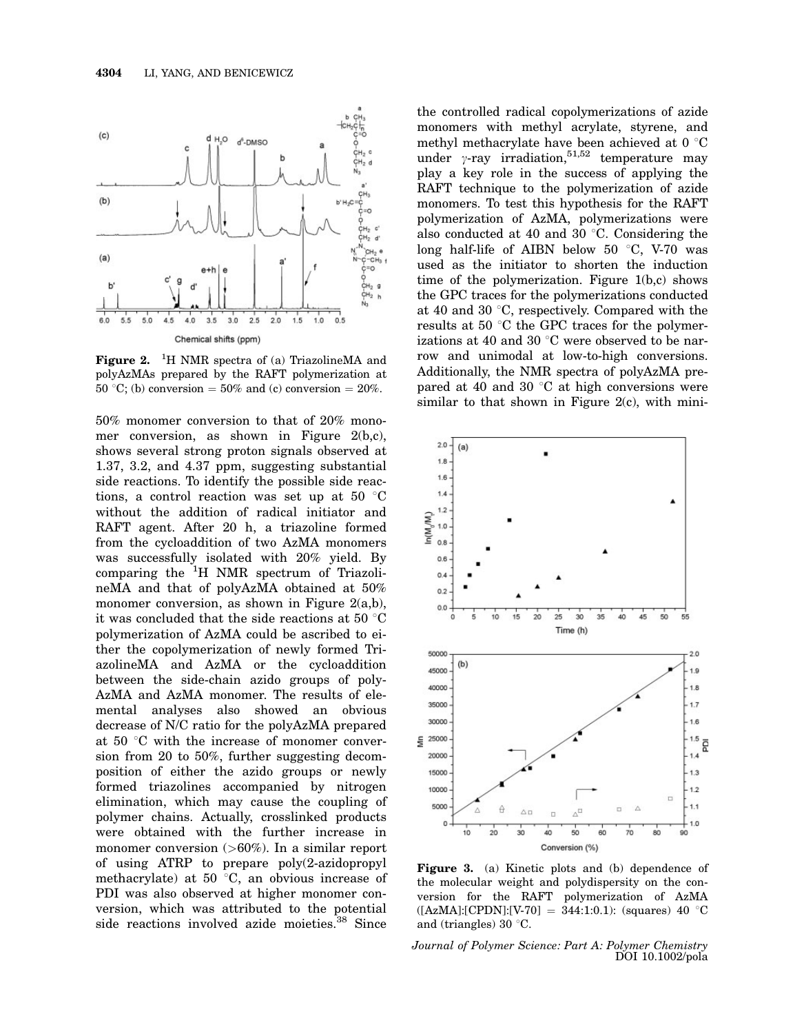

Figure 2.  ${}^{1}$ H NMR spectra of (a) TriazolineMA and polyAzMAs prepared by the RAFT polymerization at 50 °C; (b) conversion  $= 50\%$  and (c) conversion  $= 20\%$ .

50% monomer conversion to that of 20% monomer conversion, as shown in Figure 2(b,c), shows several strong proton signals observed at 1.37, 3.2, and 4.37 ppm, suggesting substantial side reactions. To identify the possible side reactions, a control reaction was set up at 50  $\degree$ C without the addition of radical initiator and RAFT agent. After 20 h, a triazoline formed from the cycloaddition of two AzMA monomers was successfully isolated with 20% yield. By comparing the <sup>1</sup>H NMR spectrum of TriazolineMA and that of polyAzMA obtained at 50% monomer conversion, as shown in Figure 2(a,b), it was concluded that the side reactions at 50  $\degree$ C polymerization of AzMA could be ascribed to either the copolymerization of newly formed TriazolineMA and AzMA or the cycloaddition between the side-chain azido groups of poly-AzMA and AzMA monomer. The results of elemental analyses also showed an obvious decrease of N/C ratio for the polyAzMA prepared at 50 $\degree$ C with the increase of monomer conversion from 20 to 50%, further suggesting decomposition of either the azido groups or newly formed triazolines accompanied by nitrogen elimination, which may cause the coupling of polymer chains. Actually, crosslinked products were obtained with the further increase in monomer conversion (>60%). In a similar report of using ATRP to prepare poly(2-azidopropyl methacrylate) at 50 $\degree$ C, an obvious increase of PDI was also observed at higher monomer conversion, which was attributed to the potential side reactions involved azide moieties.<sup>38</sup> Since

the controlled radical copolymerizations of azide monomers with methyl acrylate, styrene, and methyl methacrylate have been achieved at 0  $^{\circ}{\rm C}$ under  $\gamma$ -ray irradiation,<sup>51,52</sup> temperature may play a key role in the success of applying the RAFT technique to the polymerization of azide monomers. To test this hypothesis for the RAFT polymerization of AzMA, polymerizations were also conducted at 40 and 30  $\degree$ C. Considering the long half-life of AIBN below 50  $\degree$ C, V-70 was used as the initiator to shorten the induction time of the polymerization. Figure 1(b,c) shows the GPC traces for the polymerizations conducted at 40 and 30  $\degree$ C, respectively. Compared with the results at 50 $\degree$ C the GPC traces for the polymerizations at 40 and 30  $\degree$ C were observed to be narrow and unimodal at low-to-high conversions. Additionally, the NMR spectra of polyAzMA prepared at 40 and 30  $\degree$ C at high conversions were similar to that shown in Figure 2(c), with mini-



Figure 3. (a) Kinetic plots and (b) dependence of the molecular weight and polydispersity on the conversion for the RAFT polymerization of AzMA  $([AzMA]: [CPDN]: [V-70] = 344:1:0.1):$  (squares) 40 °C and (triangles) 30 $\degree$ C.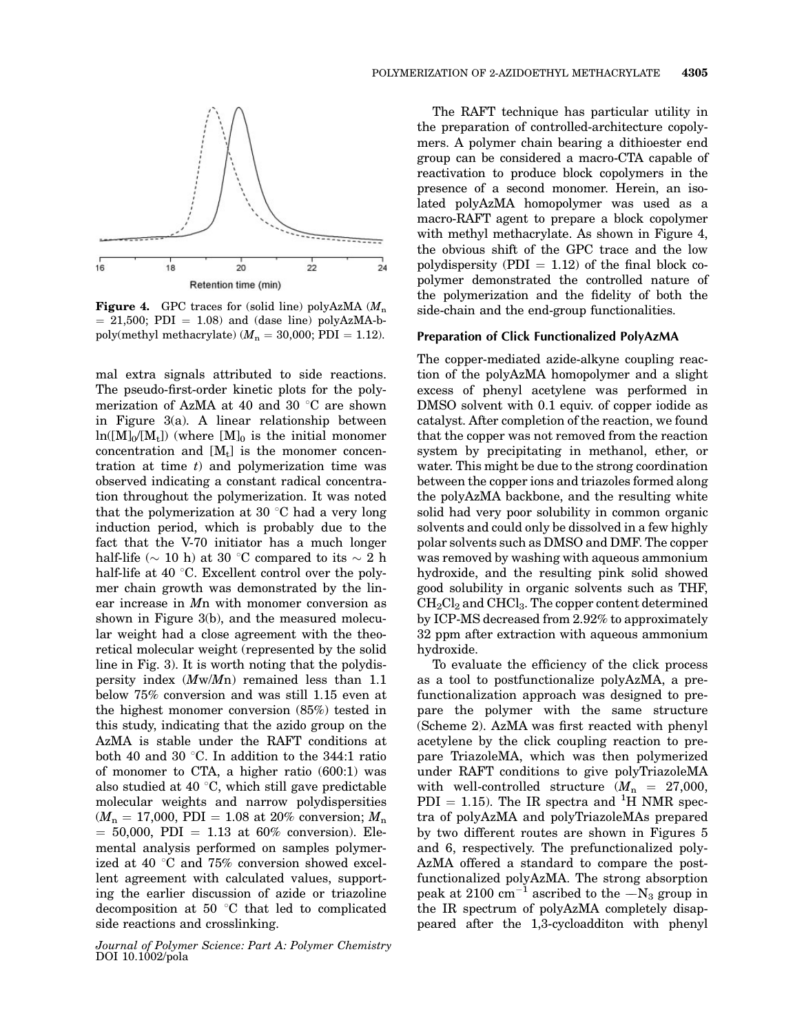

**Figure 4.** GPC traces for (solid line) polyAzMA  $(M_n)$  $= 21,500$ ; PDI  $= 1.08$ ) and (dase line) polyAzMA-bpoly(methyl methacrylate) ( $M_n = 30,000$ ; PDI = 1.12).

mal extra signals attributed to side reactions. The pseudo-first-order kinetic plots for the polymerization of AzMA at 40 and 30  $\degree$ C are shown in Figure 3(a). A linear relationship between  $ln([M]_0/[M_t])$  (where  $[M]_0$  is the initial monomer concentration and  $[M_t]$  is the monomer concentration at time  $t$ ) and polymerization time was observed indicating a constant radical concentration throughout the polymerization. It was noted that the polymerization at 30  $\degree$ C had a very long induction period, which is probably due to the fact that the V-70 initiator has a much longer half-life ( $\sim$  10 h) at 30 °C compared to its  $\sim$  2 h half-life at 40  $\degree$ C. Excellent control over the polymer chain growth was demonstrated by the linear increase in Mn with monomer conversion as shown in Figure 3(b), and the measured molecular weight had a close agreement with the theoretical molecular weight (represented by the solid line in Fig. 3). It is worth noting that the polydispersity index (Mw/Mn) remained less than 1.1 below 75% conversion and was still 1.15 even at the highest monomer conversion (85%) tested in this study, indicating that the azido group on the AzMA is stable under the RAFT conditions at both 40 and 30 °C. In addition to the 344:1 ratio of monomer to CTA, a higher ratio (600:1) was also studied at 40 $\degree$ C, which still gave predictable molecular weights and narrow polydispersities  $(M_n = 17,000, \text{ PDI} = 1.08 \text{ at } 20\% \text{ conversion}; M_n$  $= 50,000,$  PDI  $= 1.13$  at 60% conversion). Elemental analysis performed on samples polymerized at 40  $\degree$ C and 75% conversion showed excellent agreement with calculated values, supporting the earlier discussion of azide or triazoline decomposition at 50  $\degree$ C that led to complicated side reactions and crosslinking.

Journal of Polymer Science: Part A: Polymer Chemistry DOI 10.1002/pola

The RAFT technique has particular utility in the preparation of controlled-architecture copolymers. A polymer chain bearing a dithioester end group can be considered a macro-CTA capable of reactivation to produce block copolymers in the presence of a second monomer. Herein, an isolated polyAzMA homopolymer was used as a macro-RAFT agent to prepare a block copolymer with methyl methacrylate. As shown in Figure 4, the obvious shift of the GPC trace and the low polydispersity (PDI  $= 1.12$ ) of the final block copolymer demonstrated the controlled nature of the polymerization and the fidelity of both the side-chain and the end-group functionalities.

### Preparation of Click Functionalized PolyAzMA

The copper-mediated azide-alkyne coupling reaction of the polyAzMA homopolymer and a slight excess of phenyl acetylene was performed in DMSO solvent with 0.1 equiv. of copper iodide as catalyst. After completion of the reaction, we found that the copper was not removed from the reaction system by precipitating in methanol, ether, or water. This might be due to the strong coordination between the copper ions and triazoles formed along the polyAzMA backbone, and the resulting white solid had very poor solubility in common organic solvents and could only be dissolved in a few highly polar solvents such as DMSO and DMF. The copper was removed by washing with aqueous ammonium hydroxide, and the resulting pink solid showed good solubility in organic solvents such as THF, CH2Cl2 and CHCl3. The copper content determined by ICP-MS decreased from 2.92% to approximately 32 ppm after extraction with aqueous ammonium hydroxide.

To evaluate the efficiency of the click process as a tool to postfunctionalize polyAzMA, a prefunctionalization approach was designed to prepare the polymer with the same structure (Scheme 2). AzMA was first reacted with phenyl acetylene by the click coupling reaction to prepare TriazoleMA, which was then polymerized under RAFT conditions to give polyTriazoleMA with well-controlled structure  $(M_n = 27,000,$  $PDI = 1.15$ ). The IR spectra and <sup>1</sup>H NMR spectra of polyAzMA and polyTriazoleMAs prepared by two different routes are shown in Figures 5 and 6, respectively. The prefunctionalized poly-AzMA offered a standard to compare the postfunctionalized polyAzMA. The strong absorption peak at 2100 cm<sup>-1</sup> ascribed to the  $-N_3$  group in the IR spectrum of polyAzMA completely disappeared after the 1,3-cycloadditon with phenyl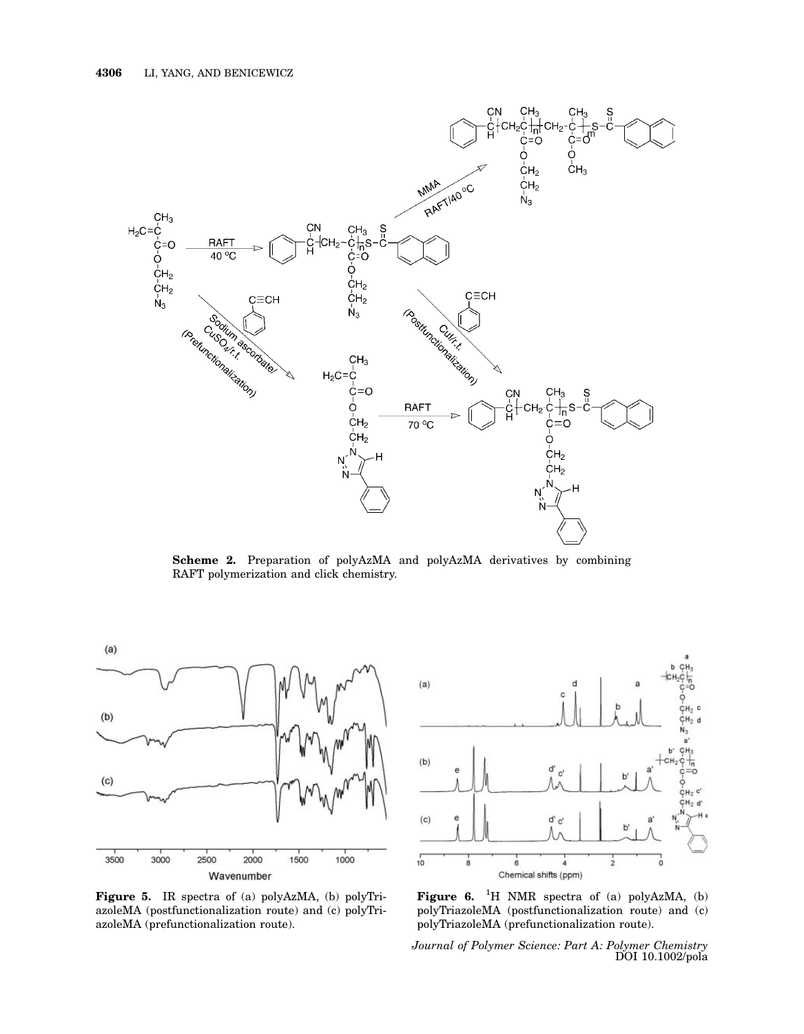

Scheme 2. Preparation of polyAzMA and polyAzMA derivatives by combining RAFT polymerization and click chemistry.



Figure 5. IR spectra of (a) polyAzMA, (b) polyTriazoleMA (postfunctionalization route) and (c) polyTriazoleMA (prefunctionalization route).



Figure 6. <sup>1</sup>H NMR spectra of (a) polyAzMA, (b) polyTriazoleMA (postfunctionalization route) and (c) polyTriazoleMA (prefunctionalization route).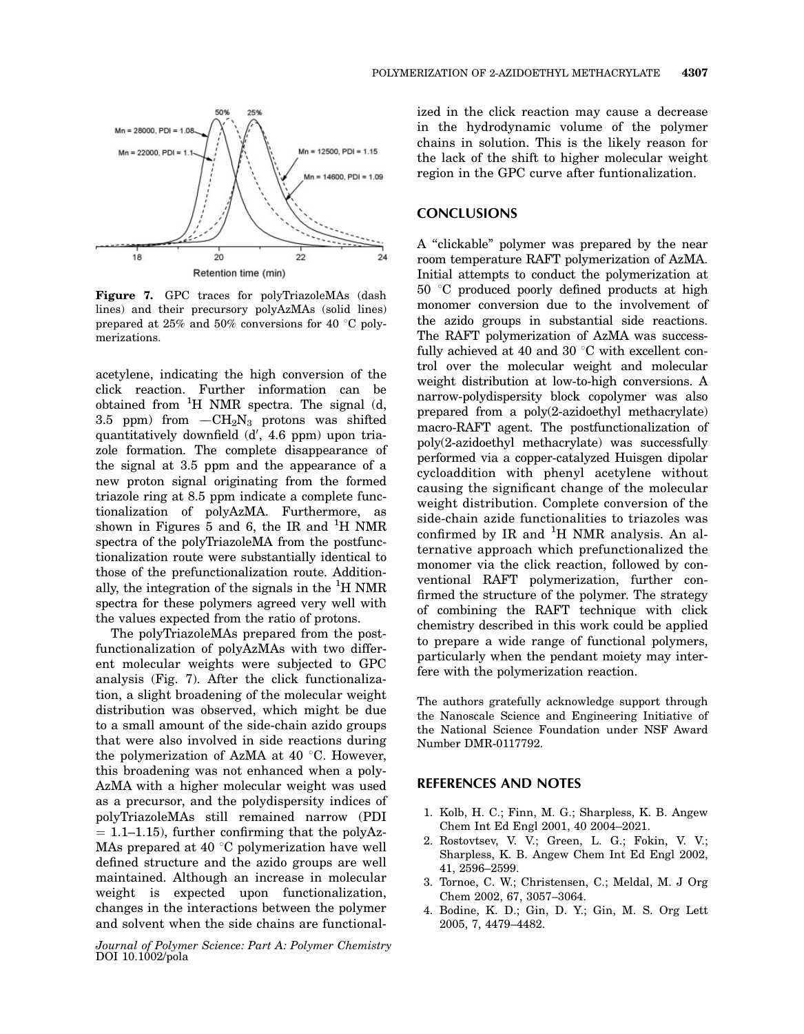

Figure 7. GPC traces for polyTriazoleMAs (dash lines) and their precursory polyAzMAs (solid lines) prepared at  $25\%$  and  $50\%$  conversions for 40 °C polymerizations.

acetylene, indicating the high conversion of the click reaction. Further information can be obtained from  ${}^{1}H$  NMR spectra. The signal (d, 3.5 ppm) from  $-CH<sub>2</sub>N<sub>3</sub>$  protons was shifted quantitatively downfield (d', 4.6 ppm) upon triazole formation. The complete disappearance of the signal at 3.5 ppm and the appearance of a new proton signal originating from the formed triazole ring at 8.5 ppm indicate a complete functionalization of polyAzMA. Furthermore, as shown in Figures  $\overline{5}$  and 6, the IR and <sup>1</sup>H NMR spectra of the polyTriazoleMA from the postfunctionalization route were substantially identical to those of the prefunctionalization route. Additionally, the integration of the signals in the  ${}^{1}$ H NMR spectra for these polymers agreed very well with the values expected from the ratio of protons.

The polyTriazoleMAs prepared from the postfunctionalization of polyAzMAs with two different molecular weights were subjected to GPC analysis (Fig. 7). After the click functionalization, a slight broadening of the molecular weight distribution was observed, which might be due to a small amount of the side-chain azido groups that were also involved in side reactions during the polymerization of AzMA at 40 $\degree$ C. However, this broadening was not enhanced when a poly-AzMA with a higher molecular weight was used as a precursor, and the polydispersity indices of polyTriazoleMAs still remained narrow (PDI  $= 1.1-1.15$ , further confirming that the polyAz-MAs prepared at 40  $\degree$ C polymerization have well defined structure and the azido groups are well maintained. Although an increase in molecular weight is expected upon functionalization, changes in the interactions between the polymer and solvent when the side chains are functional-

Journal of Polymer Science: Part A: Polymer Chemistry DOI 10.1002/pola

ized in the click reaction may cause a decrease in the hydrodynamic volume of the polymer chains in solution. This is the likely reason for the lack of the shift to higher molecular weight region in the GPC curve after funtionalization.

# **CONCLUSIONS**

A ''clickable'' polymer was prepared by the near room temperature RAFT polymerization of AzMA. Initial attempts to conduct the polymerization at  $50 °C$  produced poorly defined products at high monomer conversion due to the involvement of the azido groups in substantial side reactions. The RAFT polymerization of AzMA was successfully achieved at 40 and 30  $\degree$ C with excellent control over the molecular weight and molecular weight distribution at low-to-high conversions. A narrow-polydispersity block copolymer was also prepared from a poly(2-azidoethyl methacrylate) macro-RAFT agent. The postfunctionalization of poly(2-azidoethyl methacrylate) was successfully performed via a copper-catalyzed Huisgen dipolar cycloaddition with phenyl acetylene without causing the significant change of the molecular weight distribution. Complete conversion of the side-chain azide functionalities to triazoles was confirmed by IR and  ${}^{1}H$  NMR analysis. An alternative approach which prefunctionalized the monomer via the click reaction, followed by conventional RAFT polymerization, further confirmed the structure of the polymer. The strategy of combining the RAFT technique with click chemistry described in this work could be applied to prepare a wide range of functional polymers, particularly when the pendant moiety may interfere with the polymerization reaction.

The authors gratefully acknowledge support through the Nanoscale Science and Engineering Initiative of the National Science Foundation under NSF Award Number DMR-0117792.

## REFERENCES AND NOTES

- 1. Kolb, H. C.; Finn, M. G.; Sharpless, K. B. Angew Chem Int Ed Engl 2001, 40 2004–2021.
- 2. Rostovtsev, V. V.; Green, L. G.; Fokin, V. V.; Sharpless, K. B. Angew Chem Int Ed Engl 2002, 41, 2596–2599.
- 3. Tornoe, C. W.; Christensen, C.; Meldal, M. J Org Chem 2002, 67, 3057–3064.
- 4. Bodine, K. D.; Gin, D. Y.; Gin, M. S. Org Lett 2005, 7, 4479–4482.